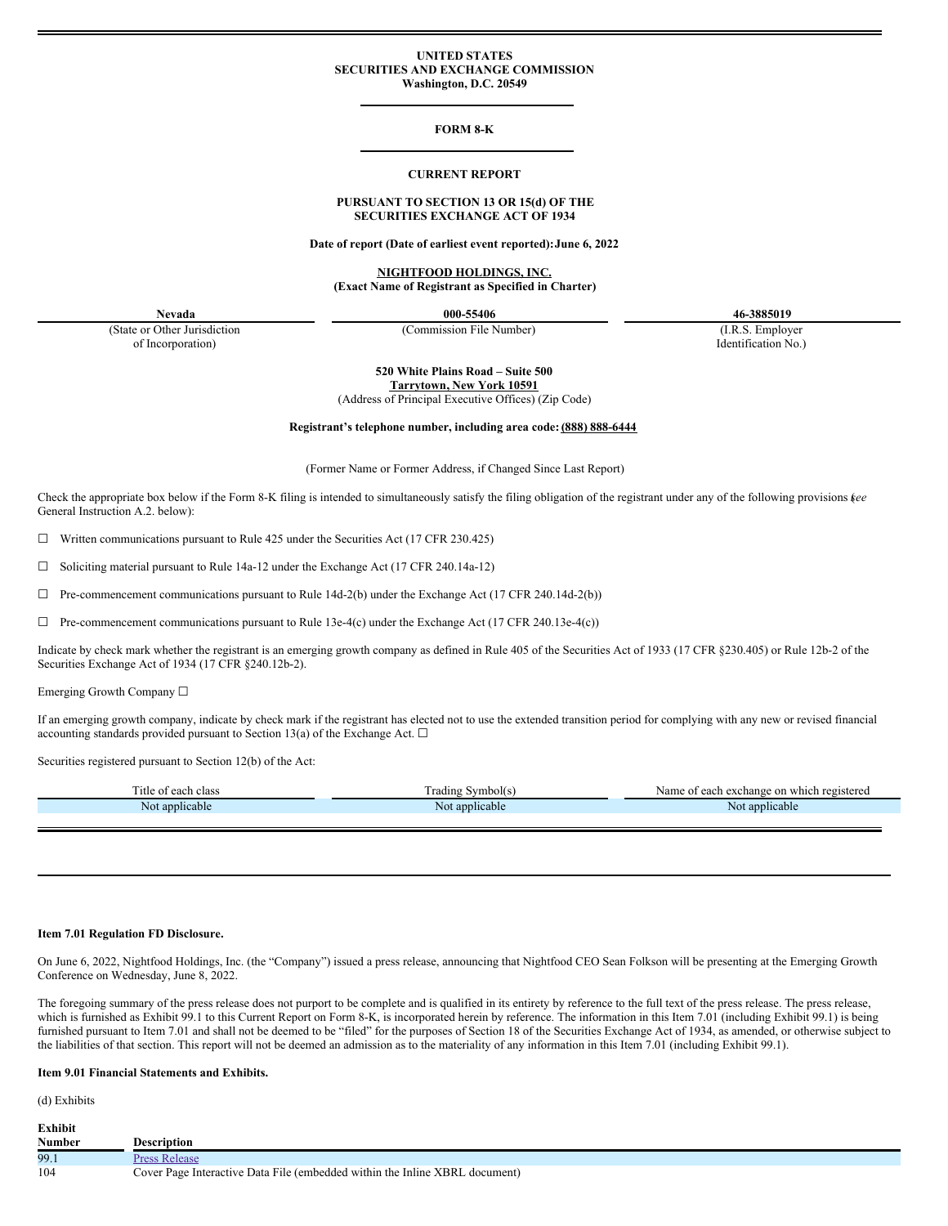#### **UNITED STATES SECURITIES AND EXCHANGE COMMISSION Washington, D.C. 20549**

### **FORM 8-K**

#### **CURRENT REPORT**

## **PURSUANT TO SECTION 13 OR 15(d) OF THE SECURITIES EXCHANGE ACT OF 1934**

**Date of report (Date of earliest event reported):June 6, 2022**

**NIGHTFOOD HOLDINGS, INC. (Exact Name of Registrant as Specified in Charter)**

**Nevada 000-55406 46-3885019**

(State or Other Jurisdiction of Incorporation)

(Commission File Number) (I.R.S. Employer

Identification No.)

**520 White Plains Road – Suite 500 Tarrytown, New York 10591**

(Address of Principal Executive Offices) (Zip Code)

**Registrant's telephone number, including area code: (888) 888-6444**

(Former Name or Former Address, if Changed Since Last Report)

Check the appropriate box below if the Form 8-K filing is intended to simultaneously satisfy the filing obligation of the registrant under any of the following provisions (*see* General Instruction A.2. below):

 $\Box$  Written communications pursuant to Rule 425 under the Securities Act (17 CFR 230.425)

☐ Soliciting material pursuant to Rule 14a-12 under the Exchange Act (17 CFR 240.14a-12)

 $\Box$  Pre-commencement communications pursuant to Rule 14d-2(b) under the Exchange Act (17 CFR 240.14d-2(b))

 $\Box$  Pre-commencement communications pursuant to Rule 13e-4(c) under the Exchange Act (17 CFR 240.13e-4(c))

Indicate by check mark whether the registrant is an emerging growth company as defined in Rule 405 of the Securities Act of 1933 (17 CFR §230.405) or Rule 12b-2 of the Securities Exchange Act of 1934 (17 CFR §240.12b-2).

Emerging Growth Company ☐

If an emerging growth company, indicate by check mark if the registrant has elected not to use the extended transition period for complying with any new or revised financial accounting standards provided pursuant to Section 13(a) of the Exchange Act.  $\Box$ 

Securities registered pursuant to Section 12(b) of the Act:

| Title of each class | : Symbol(s)<br>l radıng | Name of each exchange on which registered |
|---------------------|-------------------------|-------------------------------------------|
| t applicable<br>NOt | Not applicable          | Not applicable                            |
|                     |                         |                                           |

### **Item 7.01 Regulation FD Disclosure.**

On June 6, 2022, Nightfood Holdings, Inc. (the "Company") issued a press release, announcing that Nightfood CEO Sean Folkson will be presenting at the Emerging Growth Conference on Wednesday, June 8, 2022.

The foregoing summary of the press release does not purport to be complete and is qualified in its entirety by reference to the full text of the press release. The press release, which is furnished as Exhibit 99.1 to this Current Report on Form 8-K, is incorporated herein by reference. The information in this Item 7.01 (including Exhibit 99.1) is being furnished pursuant to Item 7.01 and shall not be deemed to be "filed" for the purposes of Section 18 of the Securities Exchange Act of 1934, as amended, or otherwise subject to the liabilities of that section. This report will not be deemed an admission as to the materiality of any information in this Item 7.01 (including Exhibit 99.1).

## **Item 9.01 Financial Statements and Exhibits.**

(d) Exhibits

| Exhibit       |                                                                             |
|---------------|-----------------------------------------------------------------------------|
| <b>Number</b> | Description                                                                 |
| 99.1          | <b>Press Release</b>                                                        |
| 104           | Cover Page Interactive Data File (embedded within the Inline XBRL document) |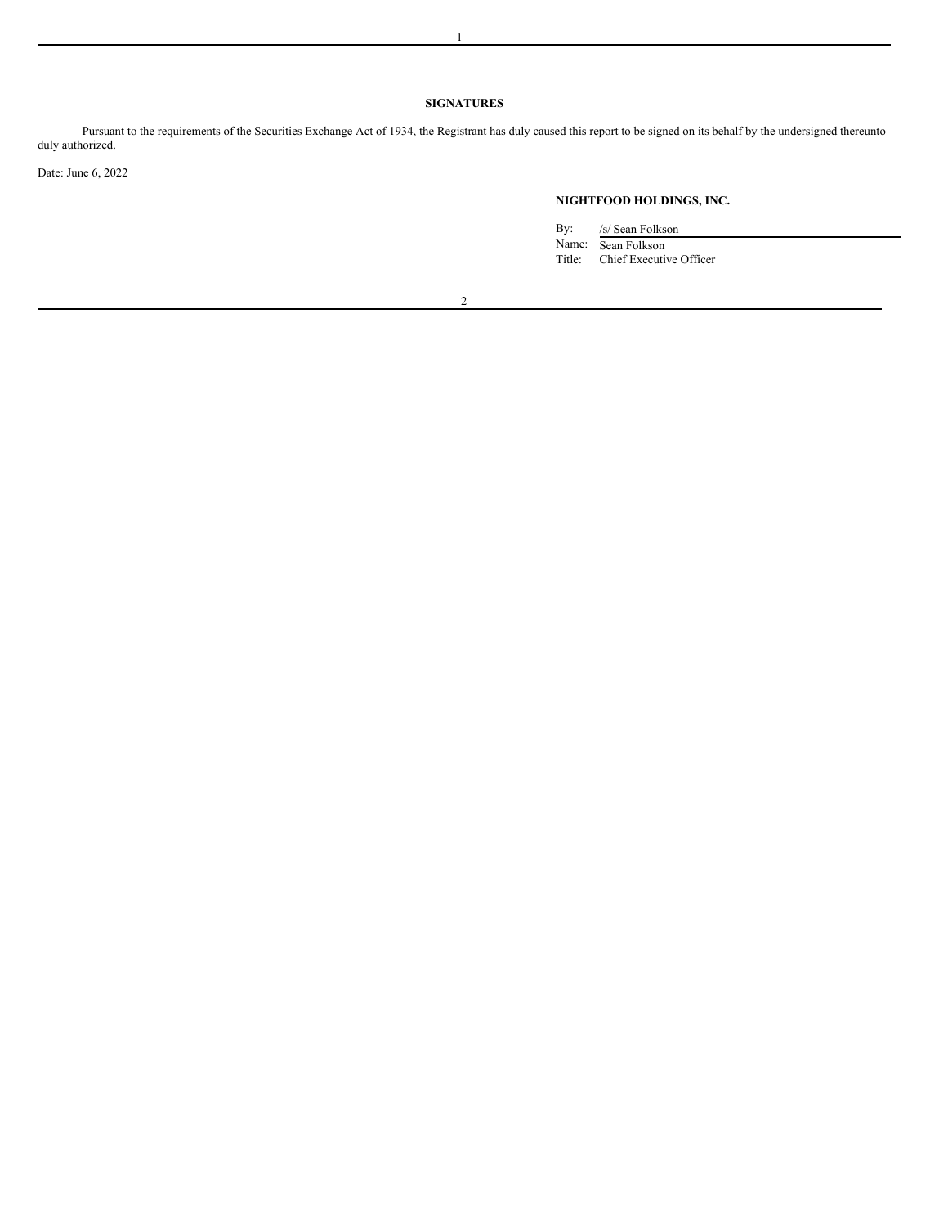# **SIGNATURES**

Pursuant to the requirements of the Securities Exchange Act of 1934, the Registrant has duly caused this report to be signed on its behalf by the undersigned thereunto duly authorized.

Date: June 6, 2022

## **NIGHTFOOD HOLDINGS, INC.**

By: /s/ Sean Folkson

Name: Sean Folkson Title: Chief Executive Officer

2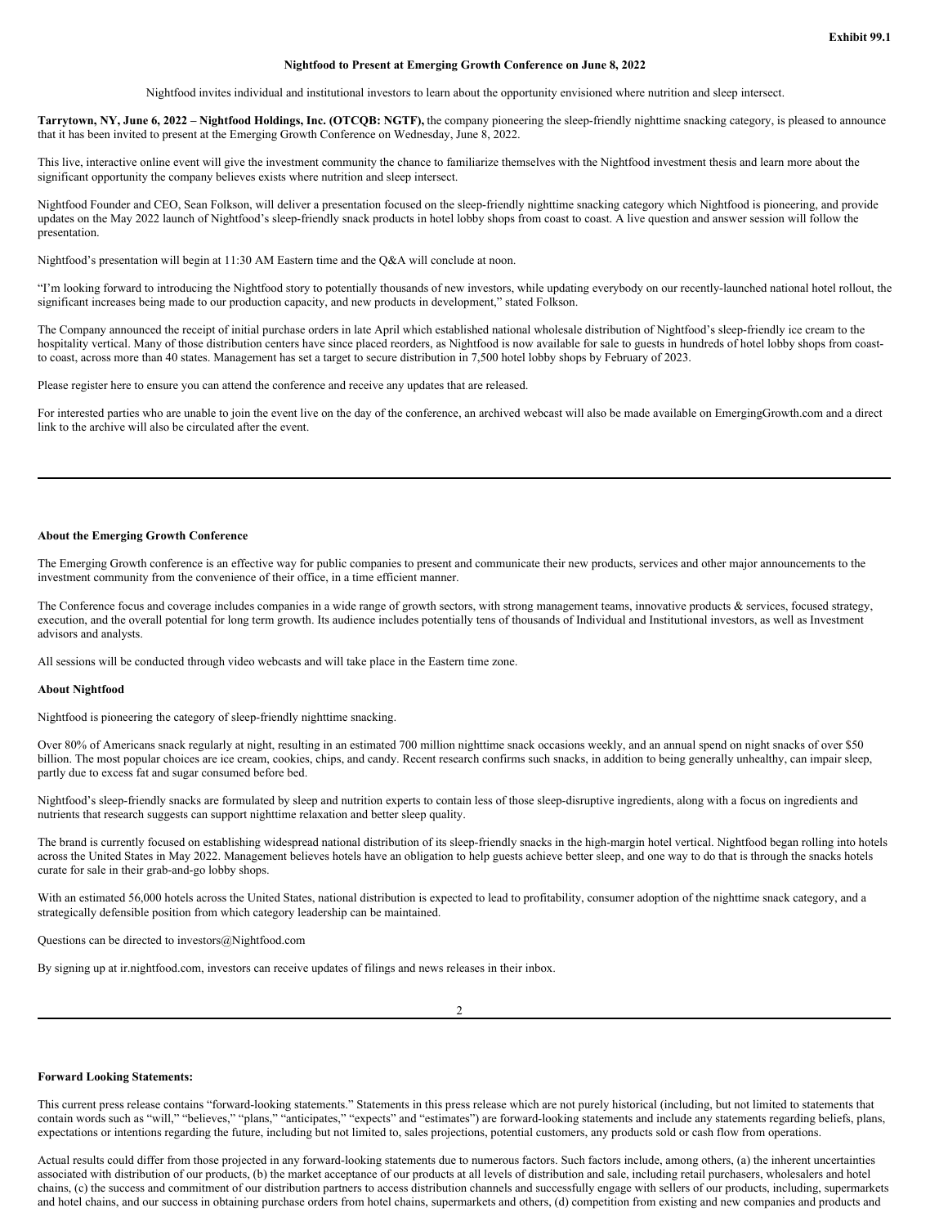## **Nightfood to Present at Emerging Growth Conference on June 8, 2022**

Nightfood invites individual and institutional investors to learn about the opportunity envisioned where nutrition and sleep intersect.

<span id="page-2-0"></span>Tarrytown, NY, June 6, 2022 - Nightfood Holdings, Inc. (OTCQB: NGTF), the company pioneering the sleep-friendly nighttime snacking category, is pleased to announce that it has been invited to present at the Emerging Growth Conference on Wednesday, June 8, 2022.

This live, interactive online event will give the investment community the chance to familiarize themselves with the Nightfood investment thesis and learn more about the significant opportunity the company believes exists where nutrition and sleep intersect.

Nightfood Founder and CEO, Sean Folkson, will deliver a presentation focused on the sleep-friendly nighttime snacking category which Nightfood is pioneering, and provide updates on the May 2022 launch of Nightfood's sleep-friendly snack products in hotel lobby shops from coast to coast. A live question and answer session will follow the presentation.

Nightfood's presentation will begin at 11:30 AM Eastern time and the Q&A will conclude at noon.

"I'm looking forward to introducing the Nightfood story to potentially thousands of new investors, while updating everybody on our recently-launched national hotel rollout, the significant increases being made to our production capacity, and new products in development," stated Folkson.

The Company announced the receipt of initial purchase orders in late April which established national wholesale distribution of Nightfood's sleep-friendly ice cream to the hospitality vertical. Many of those distribution centers have since placed reorders, as Nightfood is now available for sale to guests in hundreds of hotel lobby shops from coastto coast, across more than 40 states. Management has set a target to secure distribution in 7,500 hotel lobby shops by February of 2023.

Please register here to ensure you can attend the conference and receive any updates that are released.

For interested parties who are unable to join the event live on the day of the conference, an archived webcast will also be made available on EmergingGrowth.com and a direct link to the archive will also be circulated after the event.

### **About the Emerging Growth Conference**

The Emerging Growth conference is an effective way for public companies to present and communicate their new products, services and other major announcements to the investment community from the convenience of their office, in a time efficient manner.

The Conference focus and coverage includes companies in a wide range of growth sectors, with strong management teams, innovative products & services, focused strategy, execution, and the overall potential for long term growth. Its audience includes potentially tens of thousands of Individual and Institutional investors, as well as Investment advisors and analysts.

All sessions will be conducted through video webcasts and will take place in the Eastern time zone.

#### **About Nightfood**

Nightfood is pioneering the category of sleep-friendly nighttime snacking.

Over 80% of Americans snack regularly at night, resulting in an estimated 700 million nighttime snack occasions weekly, and an annual spend on night snacks of over \$50 billion. The most popular choices are ice cream, cookies, chips, and candy. Recent research confirms such snacks, in addition to being generally unhealthy, can impair sleep, partly due to excess fat and sugar consumed before bed.

Nightfood's sleep-friendly snacks are formulated by sleep and nutrition experts to contain less of those sleep-disruptive ingredients, along with a focus on ingredients and nutrients that research suggests can support nighttime relaxation and better sleep quality.

The brand is currently focused on establishing widespread national distribution of its sleep-friendly snacks in the high-margin hotel vertical. Nightfood began rolling into hotels across the United States in May 2022. Management believes hotels have an obligation to help guests achieve better sleep, and one way to do that is through the snacks hotels curate for sale in their grab-and-go lobby shops.

With an estimated 56,000 hotels across the United States, national distribution is expected to lead to profitability, consumer adoption of the nighttime snack category, and a strategically defensible position from which category leadership can be maintained.

Questions can be directed to investors@Nightfood.com

By signing up at ir.nightfood.com, investors can receive updates of filings and news releases in their inbox.

#### **Forward Looking Statements:**

This current press release contains "forward-looking statements." Statements in this press release which are not purely historical (including, but not limited to statements that contain words such as "will," "believes," "plans," "anticipates," "expects" and "estimates") are forward-looking statements and include any statements regarding beliefs, plans, expectations or intentions regarding the future, including but not limited to, sales projections, potential customers, any products sold or cash flow from operations.

Actual results could differ from those projected in any forward-looking statements due to numerous factors. Such factors include, among others, (a) the inherent uncertainties associated with distribution of our products, (b) the market acceptance of our products at all levels of distribution and sale, including retail purchasers, wholesalers and hotel chains, (c) the success and commitment of our distribution partners to access distribution channels and successfully engage with sellers of our products, including, supermarkets and hotel chains, and our success in obtaining purchase orders from hotel chains, supermarkets and others, (d) competition from existing and new companies and products and